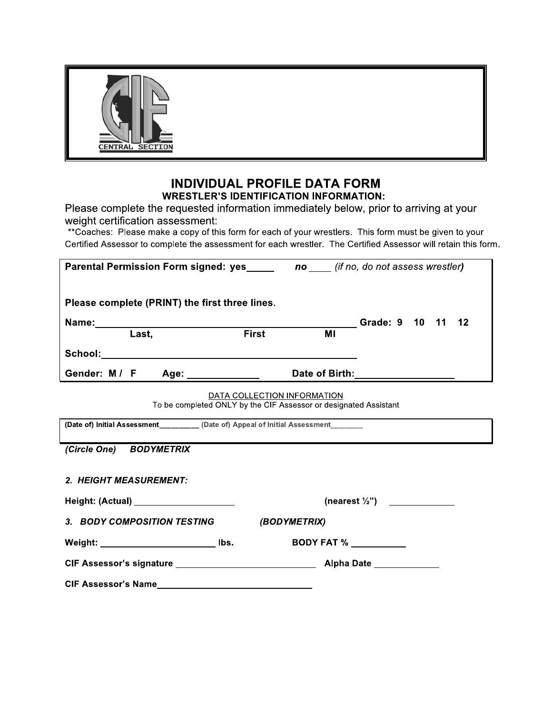

## **INDIVIDUAL PROFILE DATA FORM WRESTLER'S IDENTIFICATION INFORMATION:**

Please complete the requested information immediately below, prior to arriving at your weight certification assessment:

\*\* Coaches: Please make a copy of this form for each of your wrestlers. This form must be given to your Certified Assessor to complete the assessment for each wrestler. The Certified Assessor will retain this form.

| <b>Parental Permission Form signed: yes_______ no</b> (if no, do not assess wrestler)            |       |                                                       |                   |  |  |  |  |  |
|--------------------------------------------------------------------------------------------------|-------|-------------------------------------------------------|-------------------|--|--|--|--|--|
| Please complete (PRINT) the first three lines.                                                   |       |                                                       |                   |  |  |  |  |  |
| Name:________<br>the contract of the contract of the contract of the contract of the contract of |       |                                                       | Grade: 9 10 11 12 |  |  |  |  |  |
| <b>Last,</b>                                                                                     | First | MI                                                    |                   |  |  |  |  |  |
|                                                                                                  |       |                                                       |                   |  |  |  |  |  |
| Gender: M / F Age: _____________                                                                 |       | Date of Birth:<br><u>Letter and the set of Birth:</u> |                   |  |  |  |  |  |
| DATA COLLECTION INFORMATION<br>To be completed ONLY by the CIF Assessor or designated Assistant  |       |                                                       |                   |  |  |  |  |  |
| (Date of) Initial Assessment _________ (Date of) Appeal of Initial Assessment                    |       |                                                       |                   |  |  |  |  |  |
| (Circle One) BODYMETRIX                                                                          |       |                                                       |                   |  |  |  |  |  |
| <i><b>2. HEIGHT MEASUREMENT:</b></i>                                                             |       |                                                       |                   |  |  |  |  |  |
| Height: (Actual) ______________________<br>(nearest $\frac{1}{2}$ ")                             |       |                                                       |                   |  |  |  |  |  |
| 3. BODY COMPOSITION TESTING<br>(BODYMETRIX)                                                      |       |                                                       |                   |  |  |  |  |  |
| Weight: ________________________ lbs.                                                            |       | BODY FAT %                                            |                   |  |  |  |  |  |
|                                                                                                  |       |                                                       |                   |  |  |  |  |  |
| CIF Assessor's Name                                                                              |       |                                                       |                   |  |  |  |  |  |